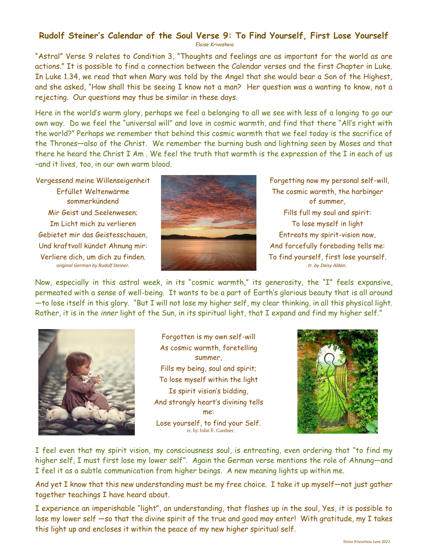## **Rudolf Steiner's Calendar of the Soul Verse 9: To Find Yourself, First Lose Yourself**

*Eloise Krivosheia*

"Astral" Verse 9 relates to Condition 3, "Thoughts and feelings are as important for the world as are actions." It is possible to find a connection between the Calendar verses and the first Chapter in Luke. In Luke 1.34, we read that when Mary was told by the Angel that she would bear a Son of the Highest, and she asked, "How shall this be seeing I know not a man? Her question was a wanting to know, not a rejecting. Our questions may thus be similar in these days.

Here in the world's warm glory, perhaps we feel a belonging to all we see with less of a longing to go our own way. Do we feel the "universal will" and love in cosmic warmth, and find that there "All's right with the world?" Perhaps we remember that behind this cosmic warmth that we feel today is the sacrifice of the Thrones—also of the Christ. We remember the burning bush and lightning seen by Moses and that there he heard the Christ I Am . We feel the truth that warmth is the expression of the I in each of us –and it lives, too, in our own warm blood.

Vergessend meine Willenseigenheit Erfüllet Weltenwärme sommerkündend Mir Geist und Seelenwesen; Im Licht mich zu verlieren Gebietet mir das Geistesschauen, Und kraftvoll kündet Ahnung mir: Verliere dich, um dich zu finden. *original German by Rudolf Steiner.*



Forgetting now my personal self-will, The cosmic warmth, the harbinger of summer, Fills full my soul and spirit: To lose myself in light Entreats my spirit-vision now, And forcefully foreboding tells me: To find yourself, first lose yourself. *tr. by Daisy Aldan*.

Now, especially in this astral week, in its "cosmic warmth," its generosity, the "I" feels expansive, permeated with a sense of well-being. It wants to be a part of Earth's glorious beauty that is all around —to lose itself in this glory. "But I will not lose my higher self, my clear thinking, in all this physical light. Rather, it is in the *inner* light of the Sun, in its spiritual light, that I expand and find my higher self."



Forgotten is my own self-will As cosmic warmth, foretelling summer, Fills my being, soul and spirit; To lose myself within the light Is spirit vision's bidding, And strongly heart's divining tells me: Lose yourself, to find your Self. tr. by John F. Gardner.



I feel even that my spirit vision, my consciousness soul, is entreating, even ordering that "to find my higher self, I must first lose my lower self". Again the German verse mentions the role of Ahnung—and I feel it as a subtle communication from higher beings. A new meaning lights up within me.

And yet I know that this new understanding must be my free choice. I take it up myself—not just gather together teachings I have heard about.

I experience an imperishable "light", an understanding, that flashes up in the soul, Yes, it is possible to lose my lower self —so that the divine spirit of the true and good may enter! With gratitude, my I takes this light up and encloses it within the peace of my new higher spiritual self.